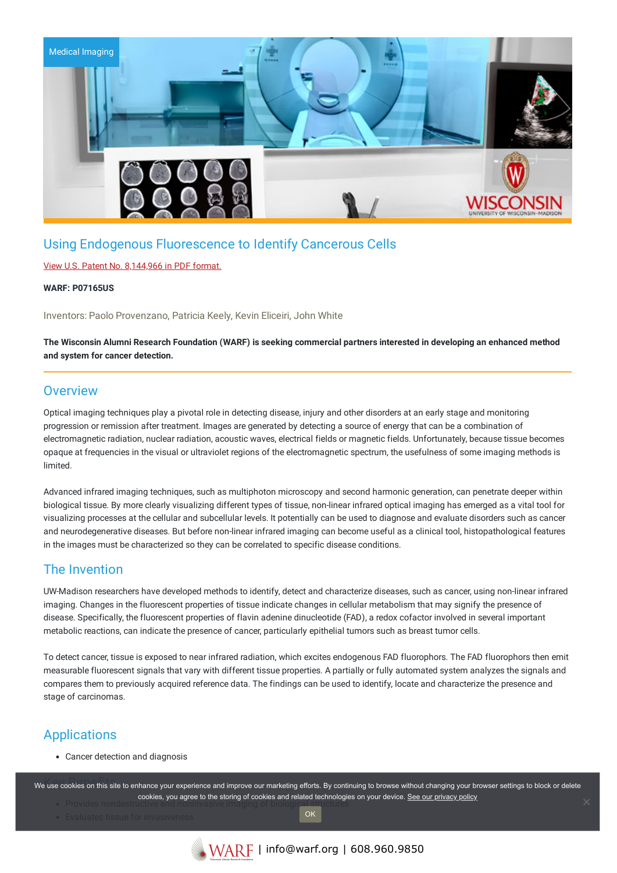

# Using Endogenous Fluorescence to Identify Cancerous Cells

### View U.S. Patent No. [8,144,966](https://www.warf.org/wp-content/uploads/technologies/ipstatus/P07165US.PDF) in PDF format.

#### **WARF: P07165US**

Inventors: Paolo Provenzano, Patricia Keely, Kevin Eliceiri, John White

The Wisconsin Alumni Research Foundation (WARF) is seeking commercial partners interested in developing an enhanced method **and system for cancer detection.**

## **Overview**

Optical imaging techniques play a pivotal role in detecting disease, injury and other disorders at an early stage and monitoring progression or remission after treatment. Images are generated by detecting a source of energy that can be a combination of electromagnetic radiation, nuclear radiation, acoustic waves, electrical fields or magnetic fields. Unfortunately, because tissue becomes opaque at frequencies in the visual or ultraviolet regions of the electromagnetic spectrum, the usefulness of some imaging methods is limited.

Advanced infrared imaging techniques, such as multiphoton microscopy and second harmonic generation, can penetrate deeper within biological tissue. By more clearly visualizing different types of tissue, non-linear infrared optical imaging has emerged as a vital tool for visualizing processes at the cellular and subcellular levels. It potentially can be used to diagnose and evaluate disorders such as cancer and neurodegenerative diseases. But before non-linear infrared imaging can become useful as a clinical tool, histopathological features in the images must be characterized so they can be correlated to specific disease conditions.

## The Invention

UW-Madison researchers have developed methods to identify, detect and characterize diseases, such as cancer, using non-linear infrared imaging. Changes in the fluorescent properties of tissue indicate changes in cellular metabolism that may signify the presence of disease. Specifically, the fluorescent properties of flavin adenine dinucleotide (FAD), a redox cofactor involved in several important metabolic reactions, can indicate the presence of cancer, particularly epithelial tumors such as breast tumor cells.

To detect cancer, tissue is exposed to near infrared radiation, which excites endogenous FAD fluorophors. The FAD fluorophors then emit measurable fluorescent signals that vary with different tissue properties. A partially or fully automated system analyzes the signals and compares them to previously acquired reference data. The findings can be used to identify, locate and characterize the presence and stage of carcinomas.

# Applications

Cancer detection and diagnosis

we use cookies on this site to enhance your experience and improve our marketing efforts. By continuing to browse without changing your browser settings to block or delete cookies, you agree to the storing of cookies and related technologies on your device. [See our privacy policy](https://www.warf.org/privacy-policy/) cookies

**OK**